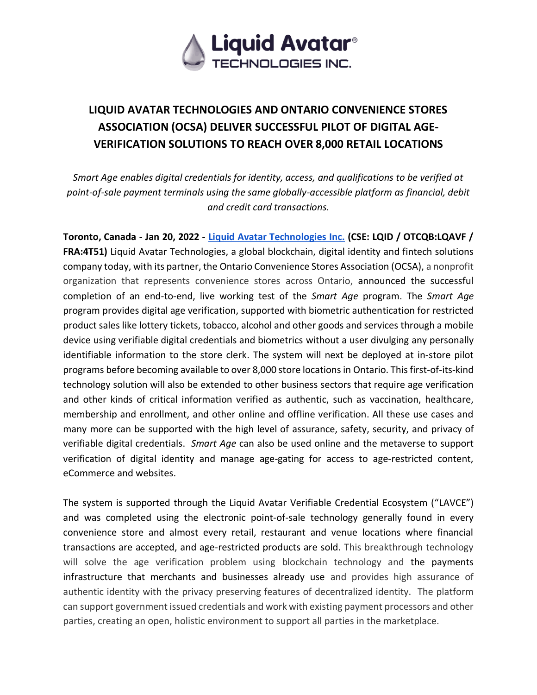

# **LIQUID AVATAR TECHNOLOGIES AND ONTARIO CONVENIENCE STORES ASSOCIATION (OCSA) DELIVER SUCCESSFUL PILOT OF DIGITAL AGE-VERIFICATION SOLUTIONS TO REACH OVER 8,000 RETAIL LOCATIONS**

*Smart Age enables digital credentials for identity, access, and qualifications to be verified at point-of-sale payment terminals using the same globally-accessible platform as financial, debit and credit card transactions.*

**Toronto, Canada - Jan 20, 2022 - [Liquid Avatar Technologies Inc.](http://www.liquidavatartechnologies.com/) (CSE: LQID / OTCQB:LQAVF / FRA:4T51)** Liquid Avatar Technologies, a global blockchain, digital identity and fintech solutions company today, with its partner, the Ontario Convenience Stores Association (OCSA), a nonprofit organization that represents convenience stores across Ontario, announced the successful completion of an end-to-end, live working test of the *Smart Age* program. The *Smart Age* program provides digital age verification, supported with biometric authentication for restricted product sales like lottery tickets, tobacco, alcohol and other goods and services through a mobile device using verifiable digital credentials and biometrics without a user divulging any personally identifiable information to the store clerk. The system will next be deployed at in-store pilot programs before becoming available to over 8,000 store locations in Ontario. This first-of-its-kind technology solution will also be extended to other business sectors that require age verification and other kinds of critical information verified as authentic, such as vaccination, healthcare, membership and enrollment, and other online and offline verification. All these use cases and many more can be supported with the high level of assurance, safety, security, and privacy of verifiable digital credentials. *Smart Age* can also be used online and the metaverse to support verification of digital identity and manage age-gating for access to age-restricted content, eCommerce and websites.

The system is supported through the Liquid Avatar Verifiable Credential Ecosystem ("LAVCE") and was completed using the electronic point-of-sale technology generally found in every convenience store and almost every retail, restaurant and venue locations where financial transactions are accepted, and age-restricted products are sold. This breakthrough technology will solve the age verification problem using blockchain technology and the payments infrastructure that merchants and businesses already use and provides high assurance of authentic identity with the privacy preserving features of decentralized identity. The platform can support government issued credentials and work with existing payment processors and other parties, creating an open, holistic environment to support all parties in the marketplace.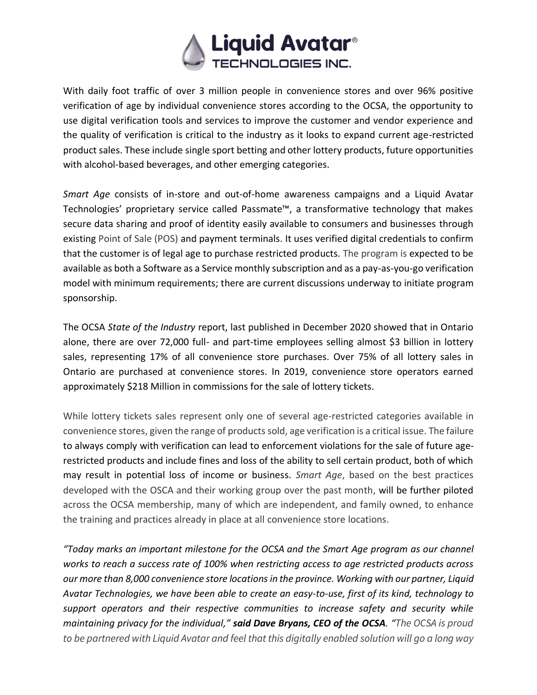

With daily foot traffic of over 3 million people in convenience stores and over 96% positive verification of age by individual convenience stores according to the OCSA, the opportunity to use digital verification tools and services to improve the customer and vendor experience and the quality of verification is critical to the industry as it looks to expand current age-restricted product sales. These include single sport betting and other lottery products, future opportunities with alcohol-based beverages, and other emerging categories.

*Smart Age* consists of in-store and out-of-home awareness campaigns and a Liquid Avatar Technologies' proprietary service called Passmate™, a transformative technology that makes secure data sharing and proof of identity easily available to consumers and businesses through existing Point of Sale (POS) and payment terminals. It uses verified digital credentials to confirm that the customer is of legal age to purchase restricted products. The program is expected to be available as both a Software as a Service monthly subscription and as a pay-as-you-go verification model with minimum requirements; there are current discussions underway to initiate program sponsorship.

The OCSA *State of the Industry* report, last published in December 2020 showed that in Ontario alone, there are over 72,000 full- and part-time employees selling almost \$3 billion in lottery sales, representing 17% of all convenience store purchases. Over 75% of all lottery sales in Ontario are purchased at convenience stores. In 2019, convenience store operators earned approximately \$218 Million in commissions for the sale of lottery tickets.

While lottery tickets sales represent only one of several age-restricted categories available in convenience stores, given the range of products sold, age verification is a critical issue. The failure to always comply with verification can lead to enforcement violations for the sale of future agerestricted products and include fines and loss of the ability to sell certain product, both of which may result in potential loss of income or business. *Smart Age*, based on the best practices developed with the OSCA and their working group over the past month, will be further piloted across the OCSA membership, many of which are independent, and family owned, to enhance the training and practices already in place at all convenience store locations.

*"Today marks an important milestone for the OCSA and the Smart Age program as our channel works to reach a success rate of 100% when restricting access to age restricted products across our more than 8,000 convenience store locations in the province. Working with our partner, Liquid Avatar Technologies, we have been able to create an easy-to-use, first of its kind, technology to support operators and their respective communities to increase safety and security while maintaining privacy for the individual," said Dave Bryans, CEO of the OCSA. "The OCSA is proud to be partnered with Liquid Avatar and feel that this digitally enabled solution will go a long way*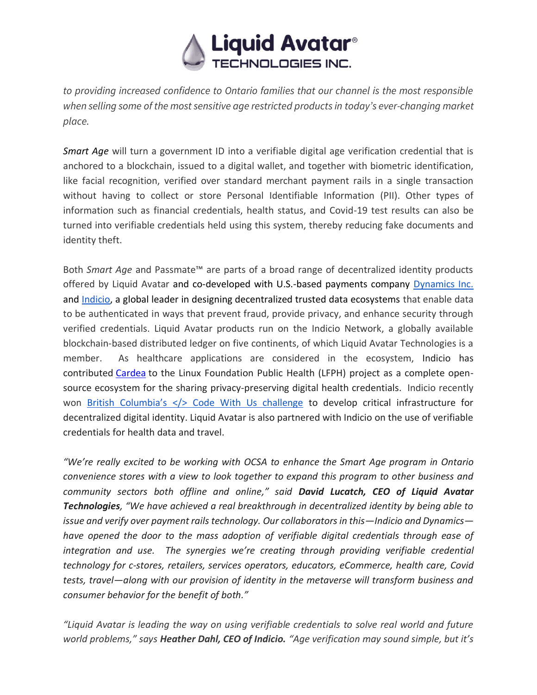

*to providing increased confidence to Ontario families that our channel is the most responsible when selling some of the most sensitive age restricted products in today's ever-changing market place.* 

*Smart Age* will turn a government ID into a verifiable digital age verification credential that is anchored to a blockchain, issued to a digital wallet, and together with biometric identification, like facial recognition, verified over standard merchant payment rails in a single transaction without having to collect or store Personal Identifiable Information (PII). Other types of information such as financial credentials, health status, and Covid-19 test results can also be turned into verifiable credentials held using this system, thereby reducing fake documents and identity theft.

Both *Smart Age* and Passmate™ are parts of a broad range of decentralized identity products offered by Liquid Avatar and co-developed with U.S.-based payments company [Dynamics Inc.](https://www.dynamicsinc.com/) and [Indicio,](https://indicio.tech/) a global leader in designing decentralized trusted data ecosystems that enable data to be authenticated in ways that prevent fraud, provide privacy, and enhance security through verified credentials. Liquid Avatar products run on the Indicio Network, a globally available blockchain-based distributed ledger on five continents, of which Liquid Avatar Technologies is a member. As healthcare applications are considered in the ecosystem, Indicio has contributed [Cardea](https://cardea.app/) to the Linux Foundation Public Health (LFPH) project as a complete opensource ecosystem for the sharing privacy-preserving digital health credentials. Indicio recently won [British Columbia's](https://digital.gov.bc.ca/marketplace/opportunities/code-with-us/e3dd1605-cc1d-4c30-a9ee-245940bccd0d) [</> Code With Us challenge](https://digital.gov.bc.ca/marketplace/opportunities/code-with-us/e3dd1605-cc1d-4c30-a9ee-245940bccd0d) to develop critical infrastructure for decentralized digital identity. Liquid Avatar is also partnered with Indicio on the use of verifiable credentials for health data and travel.

*"We're really excited to be working with OCSA to enhance the Smart Age program in Ontario convenience stores with a view to look together to expand this program to other business and community sectors both offline and online," said David Lucatch, CEO of Liquid Avatar Technologies, "We have achieved a real breakthrough in decentralized identity by being able to issue and verify over payment rails technology. Our collaborators in this—Indicio and Dynamics have opened the door to the mass adoption of verifiable digital credentials through ease of integration and use. The synergies we're creating through providing verifiable credential technology for c-stores, retailers, services operators, educators, eCommerce, health care, Covid tests, travel—along with our provision of identity in the metaverse will transform business and consumer behavior for the benefit of both."*

*"Liquid Avatar is leading the way on using verifiable credentials to solve real world and future world problems," says Heather Dahl, CEO of Indicio. "Age verification may sound simple, but it's*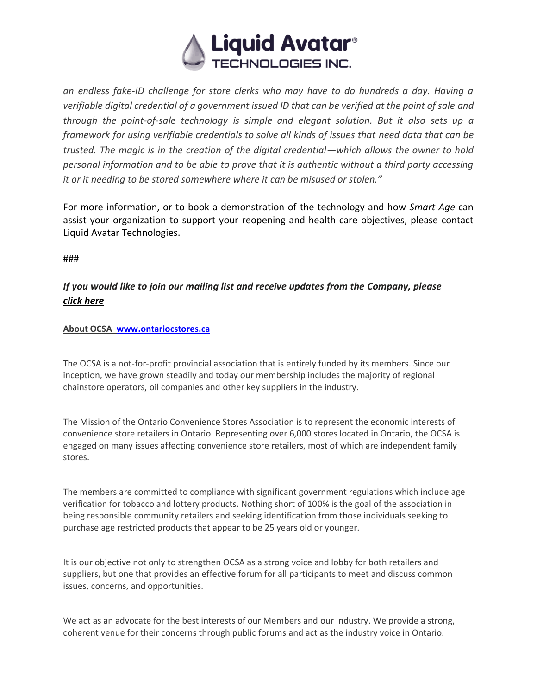

*an endless fake-ID challenge for store clerks who may have to do hundreds a day. Having a verifiable digital credential of a government issued ID that can be verified at the point of sale and through the point-of-sale technology is simple and elegant solution. But it also sets up a framework for using verifiable credentials to solve all kinds of issues that need data that can be trusted. The magic is in the creation of the digital credential—which allows the owner to hold personal information and to be able to prove that it is authentic without a third party accessing it or it needing to be stored somewhere where it can be misused or stolen."*

For more information, or to book a demonstration of the technology and how *Smart Age* can assist your organization to support your reopening and health care objectives, please contact Liquid Avatar Technologies.

###

# *If you would like to join our mailing list and receive updates from the Company, pleas[e](https://hello.liquidavatar.com/liquid-avatar-updates) [click here](https://hello.liquidavatar.com/liquid-avatar-updates)*

### **About OCSA [www.ontariocstores.ca](http://www.ontariocstores.ca/)**

The OCSA is a not-for-profit provincial association that is entirely funded by its members. Since our inception, we have grown steadily and today our membership includes the majority of regional chainstore operators, oil companies and other key suppliers in the industry.

The Mission of the Ontario Convenience Stores Association is to represent the economic interests of convenience store retailers in Ontario. Representing over 6,000 stores located in Ontario, the OCSA is engaged on many issues affecting convenience store retailers, most of which are independent family stores.

The members are committed to compliance with significant government regulations which include age verification for tobacco and lottery products. Nothing short of 100% is the goal of the association in being responsible community retailers and seeking identification from those individuals seeking to purchase age restricted products that appear to be 25 years old or younger.

It is our objective not only to strengthen OCSA as a strong voice and lobby for both retailers and suppliers, but one that provides an effective forum for all participants to meet and discuss common issues, concerns, and opportunities.

We act as an advocate for the best interests of our Members and our Industry. We provide a strong, coherent venue for their concerns through public forums and act as the industry voice in Ontario.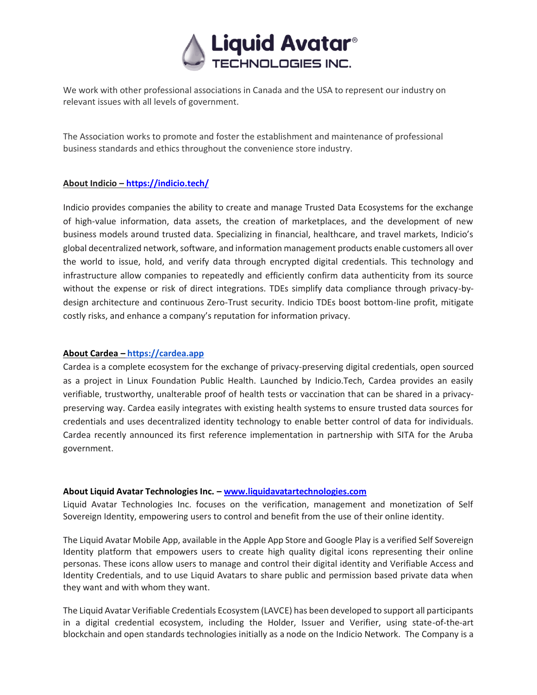

We work with other professional associations in Canada and the USA to represent our industry on relevant issues with all levels of government.

The Association works to promote and foster the establishment and maintenance of professional business standards and ethics throughout the convenience store industry.

#### **About Indicio – <https://indicio.tech/>**

Indicio provides companies the ability to create and manage Trusted Data Ecosystems for the exchange of high-value information, data assets, the creation of marketplaces, and the development of new business models around trusted data. Specializing in financial, healthcare, and travel markets, Indicio's global decentralized network, software, and information management products enable customers all over the world to issue, hold, and verify data through encrypted digital credentials. This technology and infrastructure allow companies to repeatedly and efficiently confirm data authenticity from its source without the expense or risk of direct integrations. TDEs simplify data compliance through privacy-bydesign architecture and continuous Zero-Trust security. Indicio TDEs boost bottom-line profit, mitigate costly risks, and enhance a company's reputation for information privacy.

#### **About Cardea [–](https://cardea.app/) [https://cardea.app](https://cardea.app/)**

Cardea is a complete ecosystem for the exchange of privacy-preserving digital credentials, open sourced as a project in Linux Foundation Public Health. Launched by Indicio.Tech, Cardea provides an easily verifiable, trustworthy, unalterable proof of health tests or vaccination that can be shared in a privacypreserving way. Cardea easily integrates with existing health systems to ensure trusted data sources for credentials and uses decentralized identity technology to enable better control of data for individuals. Cardea recently announced its first reference implementation in partnership with SITA for the Aruba government.

#### **About Liquid Avatar Technologies Inc. – [www.liquidavatartechnologies.com](http://www.liquidavatartechnologies.com/)**

Liquid Avatar Technologies Inc. focuses on the verification, management and monetization of Self Sovereign Identity, empowering users to control and benefit from the use of their online identity.

The Liquid Avatar Mobile App, available in the Apple App Store and Google Play is a verified Self Sovereign Identity platform that empowers users to create high quality digital icons representing their online personas. These icons allow users to manage and control their digital identity and Verifiable Access and Identity Credentials, and to use Liquid Avatars to share public and permission based private data when they want and with whom they want.

The Liquid Avatar Verifiable Credentials Ecosystem (LAVCE) has been developed to support all participants in a digital credential ecosystem, including the Holder, Issuer and Verifier, using state-of-the-art blockchain and open standards technologies initially as a node on the Indicio Network. The Company is a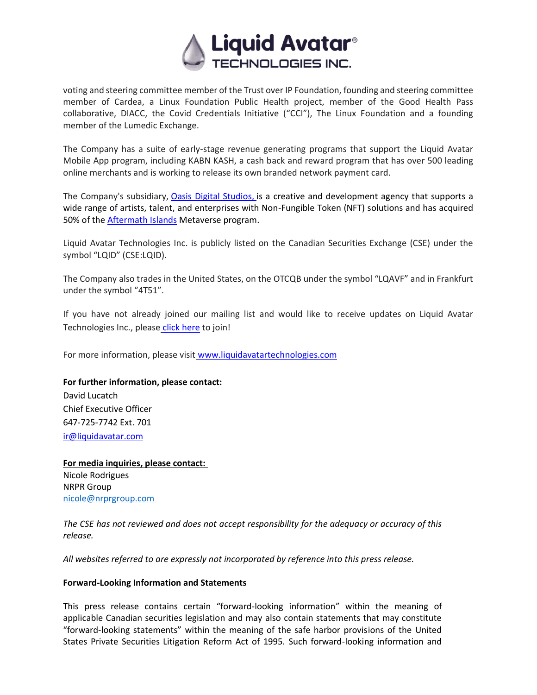

voting and steering committee member of the Trust over IP Foundation, founding and steering committee member of Cardea, a Linux Foundation Public Health project, member of the Good Health Pass collaborative, DIACC, the Covid Credentials Initiative ("CCI"), The Linux Foundation and a founding member of the Lumedic Exchange.

The Company has a suite of early-stage revenue generating programs that support the Liquid Avatar Mobile App program, including KABN KASH, a cash back and reward program that has over 500 leading online merchants and is working to release its own branded network payment card.

The Company's subsidiary, [Oasis Digital Studios,](https://oasisdigitalstudios.com/) is a creative and development agency that supports a wide range of artists, talent, and enterprises with Non-Fungible Token (NFT) solutions and has acquired 50% of the **Aftermath Islands** Metaverse program.

Liquid Avatar Technologies Inc. is publicly listed on the Canadian Securities Exchange (CSE) under the symbol "LQID" (CSE:LQID).

The Company also trades in the United States, on the OTCQB under the symbol "LQAVF" and in Frankfurt under the symbol "4T51".

If you have not already joined our mailing list and would like to receive updates on Liquid Avatar Technologies Inc., please [click here](https://hello.liquidavatar.com/liquid-avatar-updates) to join!

For more information, please visit [www.liquidavatartechnologies.com](http://www.liquidavatartechnologies.com/)

## **For further information, please contact:**

David Lucatch Chief Executive Officer 647-725-7742 Ext. 701 [ir@liquidavatar.com](mailto:ir@liquidavatar.com)

**For media inquiries, please contact:** Nicole Rodrigues NRPR Group [nicole@nrprgroup.com](mailto:nicole@nrprgroup.com)

*The CSE has not reviewed and does not accept responsibility for the adequacy or accuracy of this release.*

*All websites referred to are expressly not incorporated by reference into this press release.*

#### **Forward-Looking Information and Statements**

This press release contains certain "forward-looking information" within the meaning of applicable Canadian securities legislation and may also contain statements that may constitute "forward-looking statements" within the meaning of the safe harbor provisions of the United States Private Securities Litigation Reform Act of 1995. Such forward-looking information and